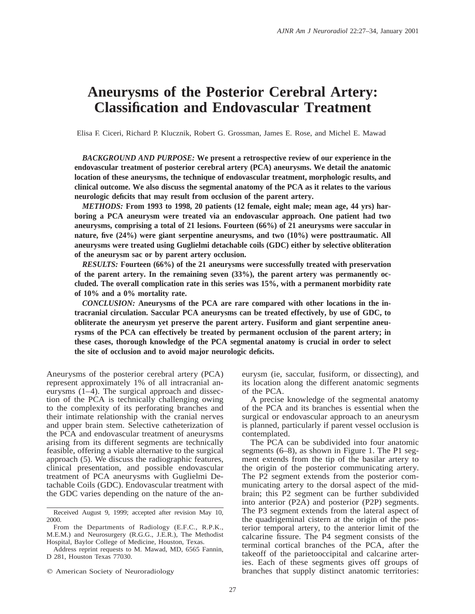# **Aneurysms of the Posterior Cerebral Artery: Classification and Endovascular Treatment**

Elisa F. Ciceri, Richard P. Klucznik, Robert G. Grossman, James E. Rose, and Michel E. Mawad

*BACKGROUND AND PURPOSE:* **We present a retrospective review of our experience in the endovascular treatment of posterior cerebral artery (PCA) aneurysms. We detail the anatomic location of these aneurysms, the technique of endovascular treatment, morphologic results, and clinical outcome. We also discuss the segmental anatomy of the PCA as it relates to the various neurologic deficits that may result from occlusion of the parent artery.**

*METHODS:* **From 1993 to 1998, 20 patients (12 female, eight male; mean age, 44 yrs) harboring a PCA aneurysm were treated via an endovascular approach. One patient had two aneurysms, comprising a total of 21 lesions. Fourteen (66%) of 21 aneurysms were saccular in nature, five (24%) were giant serpentine aneurysms, and two (10%) were posttraumatic. All aneurysms were treated using Guglielmi detachable coils (GDC) either by selective obliteration of the aneurysm sac or by parent artery occlusion.**

*RESULTS:* **Fourteen (66%) of the 21 aneurysms were successfully treated with preservation of the parent artery. In the remaining seven (33%), the parent artery was permanently occluded. The overall complication rate in this series was 15%, with a permanent morbidity rate of 10% and a 0% mortality rate.**

*CONCLUSION:* **Aneurysms of the PCA are rare compared with other locations in the intracranial circulation. Saccular PCA aneurysms can be treated effectively, by use of GDC, to obliterate the aneurysm yet preserve the parent artery. Fusiform and giant serpentine aneurysms of the PCA can effectively be treated by permanent occlusion of the parent artery; in these cases, thorough knowledge of the PCA segmental anatomy is crucial in order to select the site of occlusion and to avoid major neurologic deficits.**

Aneurysms of the posterior cerebral artery (PCA) represent approximately 1% of all intracranial aneurysms (1–4). The surgical approach and dissection of the PCA is technically challenging owing to the complexity of its perforating branches and their intimate relationship with the cranial nerves and upper brain stem. Selective catheterization of the PCA and endovascular treatment of aneurysms arising from its different segments are technically feasible, offering a viable alternative to the surgical approach (5). We discuss the radiographic features, clinical presentation, and possible endovascular treatment of PCA aneurysms with Guglielmi Detachable Coils (GDC). Endovascular treatment with the GDC varies depending on the nature of the aneurysm (ie, saccular, fusiform, or dissecting), and its location along the different anatomic segments of the PCA.

A precise knowledge of the segmental anatomy of the PCA and its branches is essential when the surgical or endovascular approach to an aneurysm is planned, particularly if parent vessel occlusion is contemplated.

The PCA can be subdivided into four anatomic segments (6–8), as shown in Figure 1. The P1 segment extends from the tip of the basilar artery to the origin of the posterior communicating artery. The P2 segment extends from the posterior communicating artery to the dorsal aspect of the midbrain; this P2 segment can be further subdivided into anterior (P2A) and posterior (P2P) segments. The P3 segment extends from the lateral aspect of the quadrigeminal cistern at the origin of the posterior temporal artery, to the anterior limit of the calcarine fissure. The P4 segment consists of the terminal cortical branches of the PCA, after the takeoff of the parietooccipital and calcarine arteries. Each of these segments gives off groups of branches that supply distinct anatomic territories:

Received August 9, 1999; accepted after revision May 10, 2000.

From the Departments of Radiology (E.F.C., R.P.K., M.E.M.) and Neurosurgery (R.G.G., J.E.R.), The Methodist Hospital, Baylor College of Medicine, Houston, Texas.

Address reprint requests to M. Mawad, MD, 6565 Fannin, D 281, Houston Texas 77030.

 $©$  American Society of Neuroradiology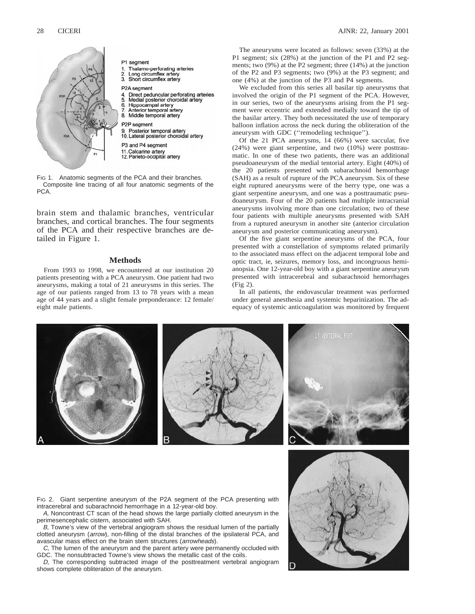

FIG 1. Anatomic segments of the PCA and their branches. Composite line tracing of all four anatomic segments of the PCA.

brain stem and thalamic branches, ventricular branches, and cortical branches. The four segments of the PCA and their respective branches are detailed in Figure 1.

#### **Methods**

From 1993 to 1998, we encountered at our institution 20 patients presenting with a PCA aneurysm. One patient had two aneurysms, making a total of 21 aneurysms in this series. The age of our patients ranged from 13 to 78 years with a mean age of 44 years and a slight female preponderance: 12 female/ eight male patients.

The aneurysms were located as follows: seven (33%) at the P1 segment; six (28%) at the junction of the P1 and P2 segments; two (9%) at the P2 segment; three (14%) at the junction of the P2 and P3 segments; two (9%) at the P3 segment; and one (4%) at the junction of the P3 and P4 segments.

We excluded from this series all basilar tip aneurysms that involved the origin of the P1 segment of the PCA. However, in our series, two of the aneurysms arising from the P1 segment were eccentric and extended medially toward the tip of the basilar artery. They both necessitated the use of temporary balloon inflation across the neck during the obliteration of the aneurysm with GDC (''remodeling technique'').

Of the 21 PCA aneurysms, 14 (66%) were saccular, five (24%) were giant serpentine, and two (10%) were posttraumatic. In one of these two patients, there was an additional pseudoaneurysm of the medial tentorial artery. Eight (40%) of the 20 patients presented with subarachnoid hemorrhage (SAH) as a result of rupture of the PCA aneurysm. Six of these eight ruptured aneurysms were of the berry type, one was a giant serpentine aneurysm, and one was a posttraumatic pseudoaneurysm. Four of the 20 patients had multiple intracranial aneurysms involving more than one circulation; two of these four patients with multiple aneurysms presented with SAH from a ruptured aneurysm in another site (anterior circulation aneurysm and posterior communicating aneurysm).

Of the five giant serpentine aneurysms of the PCA, four presented with a constellation of symptoms related primarily to the associated mass effect on the adjacent temporal lobe and optic tract, ie, seizures, memory loss, and incongruous hemianopsia. One 12-year-old boy with a giant serpentine aneurysm presented with intracerebral and subarachnoid hemorrhages (Fig 2).

In all patients, the endovascular treatment was performed under general anesthesia and systemic heparinization. The adequacy of systemic anticoagulation was monitored by frequent

FIG 2. Giant serpentine aneurysm of the P2A segment of the PCA presenting with intracerebral and subarachnoid hemorrhage in a 12-year-old boy.

A, Noncontrast CT scan of the head shows the large partially clotted aneurysm in the perimesencephalic cistern, associated with SAH.

B, Towne's view of the vertebral angiogram shows the residual lumen of the partially clotted aneurysm (arrow), non-filling of the distal branches of the ipsilateral PCA, and avascular mass effect on the brain stem structures (arrowheads).

C, The lumen of the aneurysm and the parent artery were permanently occluded with GDC. The nonsubtracted Towne's view shows the metallic cast of the coils.

D, The corresponding subtracted image of the posttreatment vertebral angiogram shows complete obliteration of the aneurysm.

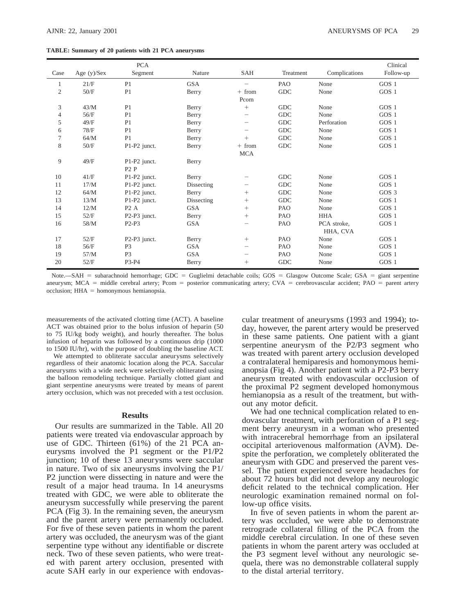#### **TABLE: Summary of 20 patients with 21 PCA aneurysms**

|                |               | <b>PCA</b>                            |            |            |             |               | Clinical         |
|----------------|---------------|---------------------------------------|------------|------------|-------------|---------------|------------------|
| Case           | Age $(y)/Sex$ | Segment                               | Nature     | SAH        | Treatment   | Complications | Follow-up        |
| 1              | 21/F          | P <sub>1</sub>                        | <b>GSA</b> |            | PAO         | None          | GOS 1            |
| $\mathfrak{2}$ | 50/F          | P <sub>1</sub>                        | Berry      | $+ from$   | <b>GDC</b>  | None          | GOS 1            |
|                |               |                                       |            | Pcom       |             |               |                  |
| $\mathfrak{Z}$ | 43/M          | P <sub>1</sub>                        | Berry      | $^{+}$     | <b>GDC</b>  | None          | GOS 1            |
| 4              | 56/F          | P <sub>1</sub>                        | Berry      | -          | <b>GDC</b>  | None          | GOS 1            |
| 5              | 49/F          | P <sub>1</sub>                        | Berry      |            | GDC         | Perforation   | GOS 1            |
| 6              | 78/F          | P <sub>1</sub>                        | Berry      |            | <b>GDC</b>  | None          | GOS <sub>1</sub> |
| $\tau$         | 64/M          | P <sub>1</sub>                        | Berry      | $^{+}$     | <b>GDC</b>  | None          | GOS 1            |
| 8              | 50/F          | P1-P2 junct.                          | Berry      | $+ from$   | <b>GDC</b>  | None          | GOS 1            |
|                |               |                                       |            | <b>MCA</b> |             |               |                  |
| 9              | 49/F          | P1-P2 junct.                          | Berry      |            |             |               |                  |
|                |               | P2P                                   |            |            |             |               |                  |
| 10             | 41/F          | P1-P2 junct.                          | Berry      |            | ${\rm GDC}$ | None          | GOS 1            |
| 11             | 17/M          | P1-P2 junct.                          | Dissecting | -          | <b>GDC</b>  | None          | GOS 1            |
| 12             | 64/M          | P1-P2 junct.                          | Berry      | $^+$       | <b>GDC</b>  | None          | GOS 3            |
| 13             | 13/M          | P1-P2 junct.                          | Dissecting | $^{+}$     | <b>GDC</b>  | None          | GOS 1            |
| 14             | 12/M          | P <sub>2</sub> A                      | <b>GSA</b> | $^{+}$     | PAO         | None          | GOS 1            |
| 15             | 52/F          | P2-P3 junct.                          | Berry      | $^{+}$     | PAO         | <b>HHA</b>    | GOS 1            |
| 16             | 58/M          | $P2-P3$                               | <b>GSA</b> | -          | PAO         | PCA stroke,   | GOS 1            |
|                |               |                                       |            |            |             | HHA, CVA      |                  |
| 17             | 52/F          | P <sub>2</sub> -P <sub>3</sub> junct. | Berry      | $^{+}$     | PAO         | None          | GOS 1            |
| 18             | 56/F          | P <sub>3</sub>                        | <b>GSA</b> | -          | PAO         | None          | GOS 1            |
| 19             | 57/M          | P <sub>3</sub>                        | <b>GSA</b> | -          | PAO         | None          | GOS 1            |
| 20             | 52/F          | P3-P4                                 | Berry      | $^{+}$     | <b>GDC</b>  | None          | GOS 1            |

Note.—SAH = subarachnoid hemorrhage; GDC = Guglielmi detachable coils; GOS = Glasgow Outcome Scale; GSA = giant serpentine aneurysm; MCA = middle cerebral artery; Pcom = posterior communicating artery; CVA = cerebrovascular accident; PAO = parent artery  $occlusion$ ;  $HHA = homonymous hemianopsia$ .

measurements of the activated clotting time (ACT). A baseline ACT was obtained prior to the bolus infusion of heparin (50 to 75 IU/kg body weight), and hourly thereafter. The bolus infusion of heparin was followed by a continuous drip (1000 to 1500 IU/hr), with the purpose of doubling the baseline ACT.

We attempted to obliterate saccular aneurysms selectively regardless of their anatomic location along the PCA. Saccular aneurysms with a wide neck were selectively obliterated using the balloon remodeling technique. Partially clotted giant and giant serpentine aneurysms were treated by means of parent artery occlusion, which was not preceded with a test occlusion.

#### **Results**

Our results are summarized in the Table. All 20 patients were treated via endovascular approach by use of GDC. Thirteen (61%) of the 21 PCA aneurysms involved the P1 segment or the P1/P2 junction; 10 of these 13 aneurysms were saccular in nature. Two of six aneurysms involving the P1/ P2 junction were dissecting in nature and were the result of a major head trauma. In 14 aneurysms treated with GDC, we were able to obliterate the aneurysm successfully while preserving the parent PCA (Fig 3). In the remaining seven, the aneurysm and the parent artery were permanently occluded. For five of these seven patients in whom the parent artery was occluded, the aneurysm was of the giant serpentine type without any identifiable or discrete neck. Two of these seven patients, who were treated with parent artery occlusion, presented with acute SAH early in our experience with endovascular treatment of aneurysms (1993 and 1994); today, however, the parent artery would be preserved in these same patients. One patient with a giant serpentine aneurysm of the P2/P3 segment who was treated with parent artery occlusion developed a contralateral hemiparesis and homonymous hemianopsia (Fig 4). Another patient with a P2-P3 berry aneurysm treated with endovascular occlusion of the proximal P2 segment developed homonymous hemianopsia as a result of the treatment, but without any motor deficit.

We had one technical complication related to endovascular treatment, with perforation of a P1 segment berry aneurysm in a woman who presented with intracerebral hemorrhage from an ipsilateral occipital arteriovenous malformation (AVM). Despite the perforation, we completely obliterated the aneurysm with GDC and preserved the parent vessel. The patient experienced severe headaches for about 72 hours but did not develop any neurologic deficit related to the technical complication. Her neurologic examination remained normal on follow-up office visits.

In five of seven patients in whom the parent artery was occluded, we were able to demonstrate retrograde collateral filling of the PCA from the middle cerebral circulation. In one of these seven patients in whom the parent artery was occluded at the P3 segment level without any neurologic sequela, there was no demonstrable collateral supply to the distal arterial territory.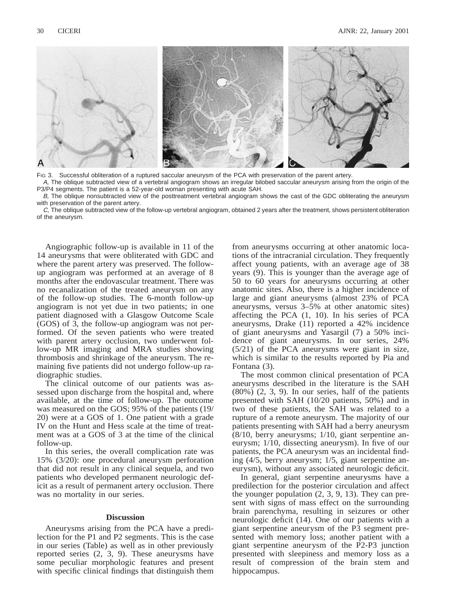

FIG 3. Successful obliteration of a ruptured saccular aneurysm of the PCA with preservation of the parent artery.

A, The oblique subtracted view of a vertebral angiogram shows an irregular bilobed saccular aneurysm arising from the origin of the P3/P4 segments. The patient is a 52-year-old woman presenting with acute SAH.

B, The oblique nonsubtracted view of the posttreatment vertebral angiogram shows the cast of the GDC obliterating the aneurysm with preservation of the parent artery.

C, The oblique subtracted view of the follow-up vertebral angiogram, obtained 2 years after the treatment, shows persistent obliteration of the aneurysm.

Angiographic follow-up is available in 11 of the 14 aneurysms that were obliterated with GDC and where the parent artery was preserved. The followup angiogram was performed at an average of 8 months after the endovascular treatment. There was no recanalization of the treated aneurysm on any of the follow-up studies. The 6-month follow-up angiogram is not yet due in two patients; in one patient diagnosed with a Glasgow Outcome Scale (GOS) of 3, the follow-up angiogram was not performed. Of the seven patients who were treated with parent artery occlusion, two underwent follow-up MR imaging and MRA studies showing thrombosis and shrinkage of the aneurysm. The remaining five patients did not undergo follow-up radiographic studies.

The clinical outcome of our patients was assessed upon discharge from the hospital and, where available, at the time of follow-up. The outcome was measured on the GOS; 95% of the patients (19/ 20) were at a GOS of 1. One patient with a grade IV on the Hunt and Hess scale at the time of treatment was at a GOS of 3 at the time of the clinical follow-up.

In this series, the overall complication rate was 15% (3/20): one procedural aneurysm perforation that did not result in any clinical sequela, and two patients who developed permanent neurologic deficit as a result of permanent artery occlusion. There was no mortality in our series.

### **Discussion**

Aneurysms arising from the PCA have a predilection for the P1 and P2 segments. This is the case in our series (Table) as well as in other previously reported series (2, 3, 9). These aneurysms have some peculiar morphologic features and present with specific clinical findings that distinguish them

from aneurysms occurring at other anatomic locations of the intracranial circulation. They frequently affect young patients, with an average age of 38 years (9). This is younger than the average age of 50 to 60 years for aneurysms occurring at other anatomic sites. Also, there is a higher incidence of large and giant aneurysms (almost 23% of PCA aneurysms, versus 3–5% at other anatomic sites) affecting the PCA (1, 10). In his series of PCA aneurysms, Drake (11) reported a 42% incidence of giant aneurysms and Yasargil (7) a 50% incidence of giant aneurysms. In our series, 24% (5/21) of the PCA aneurysms were giant in size, which is similar to the results reported by Pia and Fontana (3).

The most common clinical presentation of PCA aneurysms described in the literature is the SAH (80%) (2, 3, 9). In our series, half of the patients presented with SAH (10/20 patients, 50%) and in two of these patients, the SAH was related to a rupture of a remote aneurysm. The majority of our patients presenting with SAH had a berry aneurysm (8/10, berry aneurysms; 1/10, giant serpentine aneurysm; 1/10, dissecting aneurysm). In five of our patients, the PCA aneurysm was an incidental finding (4/5, berry aneurysm; 1/5, giant serpentine aneurysm), without any associated neurologic deficit.

In general, giant serpentine aneurysms have a predilection for the posterior circulation and affect the younger population (2, 3, 9, 13). They can present with signs of mass effect on the surrounding brain parenchyma, resulting in seizures or other neurologic deficit (14). One of our patients with a giant serpentine aneurysm of the P3 segment presented with memory loss; another patient with a giant serpentine aneurysm of the P2-P3 junction presented with sleepiness and memory loss as a result of compression of the brain stem and hippocampus.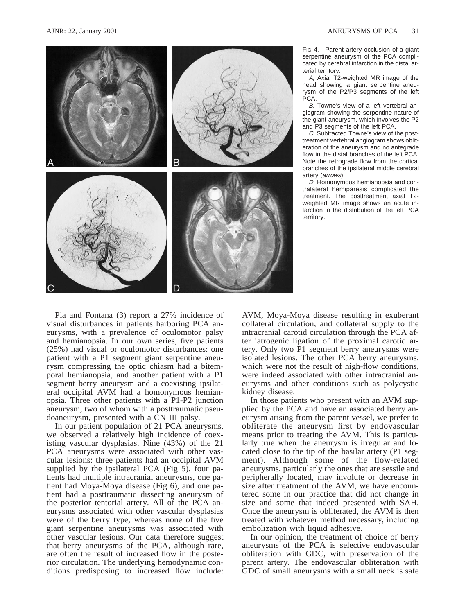

FIG 4. Parent artery occlusion of a giant serpentine aneurysm of the PCA complicated by cerebral infarction in the distal arterial territory.

A, Axial T2-weighted MR image of the head showing a giant serpentine aneurysm of the P2/P3 segments of the left PCA.

B, Towne's view of a left vertebral angiogram showing the serpentine nature of the giant aneurysm, which involves the P2 and P3 segments of the left PCA.

C, Subtracted Towne's view of the posttreatment vertebral angiogram shows obliteration of the aneurysm and no antegrade flow in the distal branches of the left PCA. Note the retrograde flow from the cortical branches of the ipsilateral middle cerebral artery (arrows).

D, Homonymous hemianopsia and contralateral hemiparesis complicated the treatment. The posttreatment axial T2 weighted MR image shows an acute infarction in the distribution of the left PCA territory.

Pia and Fontana (3) report a 27% incidence of visual disturbances in patients harboring PCA aneurysms, with a prevalence of oculomotor palsy and hemianopsia. In our own series, five patients (25%) had visual or oculomotor disturbances: one patient with a P1 segment giant serpentine aneurysm compressing the optic chiasm had a bitemporal hemianopsia, and another patient with a P1 segment berry aneurysm and a coexisting ipsilateral occipital AVM had a homonymous hemianopsia. Three other patients with a P1-P2 junction aneurysm, two of whom with a posttraumatic pseudoaneurysm, presented with a CN III palsy.

In our patient population of 21 PCA aneurysms, we observed a relatively high incidence of coexisting vascular dysplasias. Nine (43%) of the 21 PCA aneurysms were associated with other vascular lesions: three patients had an occipital AVM supplied by the ipsilateral PCA (Fig  $5$ ), four patients had multiple intracranial aneurysms, one patient had Moya-Moya disease (Fig 6), and one patient had a posttraumatic dissecting aneurysm of the posterior tentorial artery. All of the PCA aneurysms associated with other vascular dysplasias were of the berry type, whereas none of the five giant serpentine aneurysms was associated with other vascular lesions. Our data therefore suggest that berry aneurysms of the PCA, although rare, are often the result of increased flow in the posterior circulation. The underlying hemodynamic conditions predisposing to increased flow include: AVM, Moya-Moya disease resulting in exuberant collateral circulation, and collateral supply to the intracranial carotid circulation through the PCA after iatrogenic ligation of the proximal carotid artery. Only two P1 segment berry aneurysms were isolated lesions. The other PCA berry aneurysms, which were not the result of high-flow conditions, were indeed associated with other intracranial aneurysms and other conditions such as polycystic kidney disease.

In those patients who present with an AVM supplied by the PCA and have an associated berry aneurysm arising from the parent vessel, we prefer to obliterate the aneurysm first by endovascular means prior to treating the AVM. This is particularly true when the aneurysm is irregular and located close to the tip of the basilar artery (P1 segment). Although some of the flow-related aneurysms, particularly the ones that are sessile and peripherally located, may involute or decrease in size after treatment of the AVM, we have encountered some in our practice that did not change in size and some that indeed presented with SAH. Once the aneurysm is obliterated, the AVM is then treated with whatever method necessary, including embolization with liquid adhesive.

In our opinion, the treatment of choice of berry aneurysms of the PCA is selective endovascular obliteration with GDC, with preservation of the parent artery. The endovascular obliteration with GDC of small aneurysms with a small neck is safe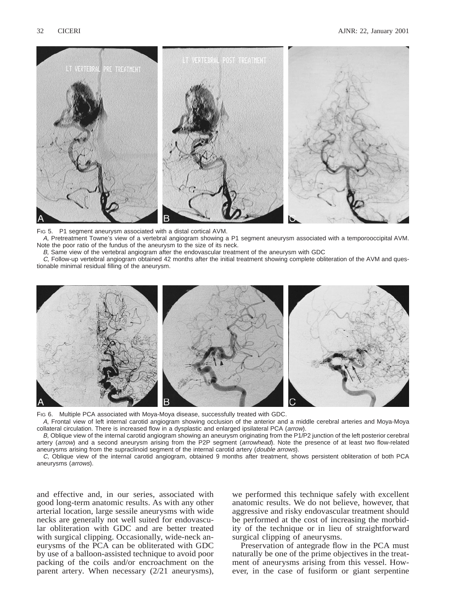

FIG 5. P1 segment aneurysm associated with a distal cortical AVM. A, Pretreatment Towne's view of a vertebral angiogram showing a P1 segment aneurysm associated with a temporooccipital AVM. Note the poor ratio of the fundus of the aneurysm to the size of its neck.

B, Same view of the vertebral angiogram after the endovascular treatment of the aneurysm with GDC

C, Follow-up vertebral angiogram obtained 42 months after the initial treatment showing complete obliteration of the AVM and questionable minimal residual filling of the aneurysm.



FIG 6. Multiple PCA associated with Moya-Moya disease, successfully treated with GDC.

A, Frontal view of left internal carotid angiogram showing occlusion of the anterior and a middle cerebral arteries and Moya-Moya collateral circulation. There is increased flow in a dysplastic and enlarged ipsilateral PCA (arrow).

B, Oblique view of the internal carotid angiogram showing an aneurysm originating from the P1/P2 junction of the left posterior cerebral artery (arrow) and a second aneurysm arising from the P2P segment (arrowhead). Note the presence of at least two flow-related aneurysms arising from the supraclinoid segment of the internal carotid artery (*double arrows*).

C, Oblique view of the internal carotid angiogram, obtained 9 months after treatment, shows persistent obliteration of both PCA aneurysms (arrows).

and effective and, in our series, associated with good long-term anatomic results. As with any other arterial location, large sessile aneurysms with wide necks are generally not well suited for endovascular obliteration with GDC and are better treated with surgical clipping. Occasionally, wide-neck aneurysms of the PCA can be obliterated with GDC by use of a balloon-assisted technique to avoid poor packing of the coils and/or encroachment on the parent artery. When necessary (2/21 aneurysms),

we performed this technique safely with excellent anatomic results. We do not believe, however, that aggressive and risky endovascular treatment should be performed at the cost of increasing the morbidity of the technique or in lieu of straightforward surgical clipping of aneurysms.

Preservation of antegrade flow in the PCA must naturally be one of the prime objectives in the treatment of aneurysms arising from this vessel. However, in the case of fusiform or giant serpentine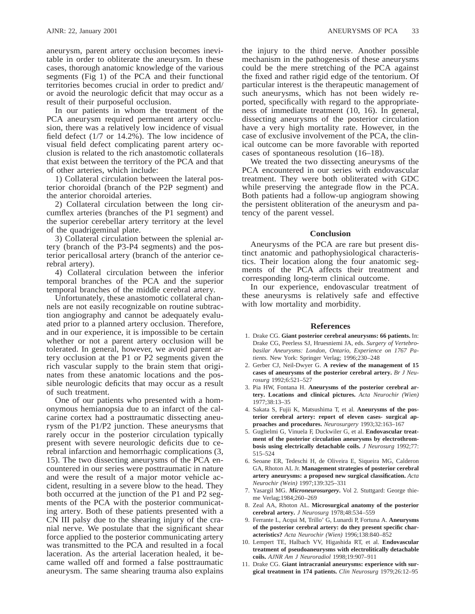aneurysm, parent artery occlusion becomes inevitable in order to obliterate the aneurysm. In these cases, thorough anatomic knowledge of the various segments (Fig 1) of the PCA and their functional territories becomes crucial in order to predict and/ or avoid the neurologic deficit that may occur as a result of their purposeful occlusion.

In our patients in whom the treatment of the PCA aneurysm required permanent artery occlusion, there was a relatively low incidence of visual field defect (1/7 or 14.2%). The low incidence of visual field defect complicating parent artery occlusion is related to the rich anastomotic collaterals that exist between the territory of the PCA and that of other arteries, which include:

1) Collateral circulation between the lateral posterior choroidal (branch of the P2P segment) and the anterior choroidal arteries.

2) Collateral circulation between the long circumflex arteries (branches of the P1 segment) and the superior cerebellar artery territory at the level of the quadrigeminal plate.

3) Collateral circulation between the splenial artery (branch of the P3-P4 segments) and the posterior pericallosal artery (branch of the anterior cerebral artery).

4) Collateral circulation between the inferior temporal branches of the PCA and the superior temporal branches of the middle cerebral artery.

Unfortunately, these anastomotic collateral channels are not easily recognizable on routine subtraction angiography and cannot be adequately evaluated prior to a planned artery occlusion. Therefore, and in our experience, it is impossible to be certain whether or not a parent artery occlusion will be tolerated. In general, however, we avoid parent artery occlusion at the P1 or P2 segments given the rich vascular supply to the brain stem that originates from these anatomic locations and the possible neurologic deficits that may occur as a result of such treatment.

One of our patients who presented with a homonymous hemianopsia due to an infarct of the calcarine cortex had a posttraumatic dissecting aneurysm of the P1/P2 junction. These aneurysms that rarely occur in the posterior circulation typically present with severe neurologic deficits due to cerebral infarction and hemorrhagic complications (3, 15). The two dissecting aneurysms of the PCA encountered in our series were posttraumatic in nature and were the result of a major motor vehicle accident, resulting in a severe blow to the head. They both occurred at the junction of the P1 and P2 segments of the PCA with the posterior communicating artery. Both of these patients presented with a CN III palsy due to the shearing injury of the cranial nerve. We postulate that the significant shear force applied to the posterior communicating artery was transmitted to the PCA and resulted in a focal laceration. As the arterial laceration healed, it became walled off and formed a false posttraumatic aneurysm. The same shearing trauma also explains

the injury to the third nerve. Another possible mechanism in the pathogenesis of these aneurysms could be the mere stretching of the PCA against the fixed and rather rigid edge of the tentorium. Of particular interest is the therapeutic management of such aneurysms, which has not been widely reported, specifically with regard to the appropriateness of immediate treatment (10, 16). In general, dissecting aneurysms of the posterior circulation have a very high mortality rate. However, in the case of exclusive involvement of the PCA, the clinical outcome can be more favorable with reported cases of spontaneous resolution (16–18).

We treated the two dissecting aneurysms of the PCA encountered in our series with endovascular treatment. They were both obliterated with GDC while preserving the antegrade flow in the PCA. Both patients had a follow-up angiogram showing the persistent obliteration of the aneurysm and patency of the parent vessel.

## **Conclusion**

Aneurysms of the PCA are rare but present distinct anatomic and pathophysiological characteristics. Their location along the four anatomic segments of the PCA affects their treatment and corresponding long-term clinical outcome.

In our experience, endovascular treatment of these aneurysms is relatively safe and effective with low mortality and morbidity.

#### **References**

- 1. Drake CG. **Giant posterior cerebral aneurysms: 66 patients.** In: Drake CG, Peerless SJ, Hruesniemi JA, eds. *Surgery of Vertebrobasilar Aneurysms: London, Ontario, Experience on 1767 Patients.* New York: Springer Verlag; 1996;230–248
- 2. Gerber CJ, Neil-Dwyer G. **A review of the management of 15 cases of aneurysms of the posterior cerebral artery.** *Br J Neurosurg* 1992;6:521–527
- 3. Pia HW, Fontana H. **Aneurysms of the posterior cerebral artery. Locations and clinical pictures.** *Acta Neurochir (Wien)* 1977;38:13–35
- 4. Sakata S, Fujii K, Matsushima T, et al. **Aneurysms of the posterior cerebral artery: report of eleven cases- surgical approaches and procedures.** *Neurosurgery* 1993;32:163–167
- 5. Guglielmi G, Vinuela F, Duckwiler G, et al. **Endovascular treatment of the posterior circulation aneurysms by electrothrombosis using electrically detachable coils.** *J Neurosurg* 1992;77: 515–524
- 6. Seoane ER, Tedeschi H, de Oliveira E, Siqueira MG, Calderon GA, Rhoton AL Jr. **Management strategies of posterior cerebral artery aneurysms: a proposed new surgical classification.** *Acta Neurochir (Wein)* 1997;139:325–331
- 7. Yasargil MG. *Microneurosurgery***.** Vol 2. Stuttgard: George thieme Verlag;1984;260–269
- 8. Zeal AA, Rhoton AL. **Microsurgical anatomy of the posterior cerebral artery.** *J Neurosurg* 1978;48:534–559
- 9. Ferrante L, Acqui M, Trillo' G, Lunardi P, Fortuna A. **Aneurysms of the posterior cerebral artery: do they present specific characteristics?** *Acta Neurochir (Wien)* 1996;138:840–852
- 10. Lempert TE, Halbach VV, Higashida RT, et al. **Endovascular treatment of pseudoaneurysms with electrolitically detachable coils.** *AJNR Am J Neuroradiol* 1998;19:907–911
- 11. Drake CG. **Giant intracranial aneurysms: experience with surgical treatment in 174 patients.** *Clin Neurosurg* 1979;26:12–95